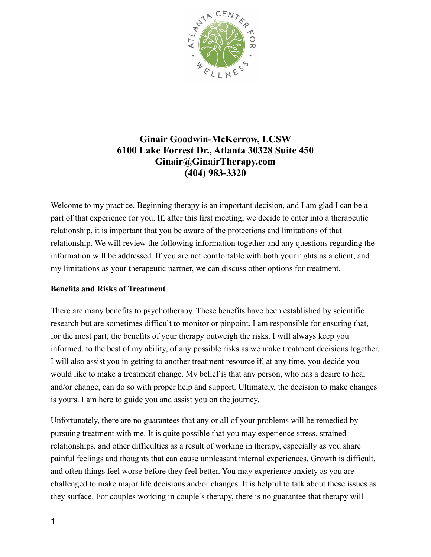

# **Ginair Goodwin-McKerrow, LCSW 6100 Lake Forrest Dr., Atlanta 30328 Suite 450 Ginair@GinairTherapy.com (404) 983-3320**

Welcome to my practice. Beginning therapy is an important decision, and I am glad I can be a part of that experience for you. If, after this first meeting, we decide to enter into a therapeutic relationship, it is important that you be aware of the protections and limitations of that relationship. We will review the following information together and any questions regarding the information will be addressed. If you are not comfortable with both your rights as a client, and my limitations as your therapeutic partner, we can discuss other options for treatment.

## **Benefits and Risks of Treatment**

There are many benefits to psychotherapy. These benefits have been established by scientific research but are sometimes difficult to monitor or pinpoint. I am responsible for ensuring that, for the most part, the benefits of your therapy outweigh the risks. I will always keep you informed, to the best of my ability, of any possible risks as we make treatment decisions together. I will also assist you in getting to another treatment resource if, at any time, you decide you would like to make a treatment change. My belief is that any person, who has a desire to heal and/or change, can do so with proper help and support. Ultimately, the decision to make changes is yours. I am here to guide you and assist you on the journey.

Unfortunately, there are no guarantees that any or all of your problems will be remedied by pursuing treatment with me. It is quite possible that you may experience stress, strained relationships, and other difficulties as a result of working in therapy, especially as you share painful feelings and thoughts that can cause unpleasant internal experiences. Growth is difficult, and often things feel worse before they feel better. You may experience anxiety as you are challenged to make major life decisions and/or changes. It is helpful to talk about these issues as they surface. For couples working in couple's therapy, there is no guarantee that therapy will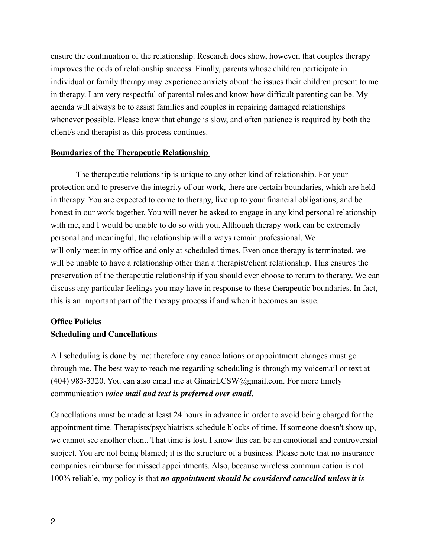ensure the continuation of the relationship. Research does show, however, that couples therapy improves the odds of relationship success. Finally, parents whose children participate in individual or family therapy may experience anxiety about the issues their children present to me in therapy. I am very respectful of parental roles and know how difficult parenting can be. My agenda will always be to assist families and couples in repairing damaged relationships whenever possible. Please know that change is slow, and often patience is required by both the client/s and therapist as this process continues.

#### **Boundaries of the Therapeutic Relationship**

The therapeutic relationship is unique to any other kind of relationship. For your protection and to preserve the integrity of our work, there are certain boundaries, which are held in therapy. You are expected to come to therapy, live up to your financial obligations, and be honest in our work together. You will never be asked to engage in any kind personal relationship with me, and I would be unable to do so with you. Although therapy work can be extremely personal and meaningful, the relationship will always remain professional. We will only meet in my office and only at scheduled times. Even once therapy is terminated, we will be unable to have a relationship other than a therapist/client relationship. This ensures the preservation of the therapeutic relationship if you should ever choose to return to therapy. We can discuss any particular feelings you may have in response to these therapeutic boundaries. In fact, this is an important part of the therapy process if and when it becomes an issue.

#### **Office Policies**

#### **Scheduling and Cancellations**

All scheduling is done by me; therefore any cancellations or appointment changes must go through me. The best way to reach me regarding scheduling is through my voicemail or text at (404) 983-3320. You can also email me at  $GinairLCSW@gmail.com$ . For more timely communication *voice mail and text is preferred over email.* 

Cancellations must be made at least 24 hours in advance in order to avoid being charged for the appointment time. Therapists/psychiatrists schedule blocks of time. If someone doesn't show up, we cannot see another client. That time is lost. I know this can be an emotional and controversial subject. You are not being blamed; it is the structure of a business. Please note that no insurance companies reimburse for missed appointments. Also, because wireless communication is not 100% reliable, my policy is that *no appointment should be considered cancelled unless it is*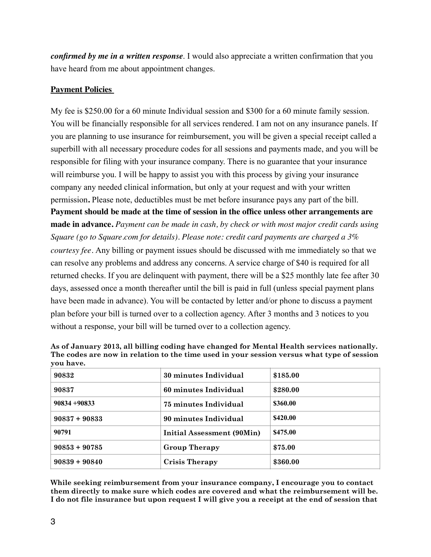*confirmed by me in a written response*. I would also appreciate a written confirmation that you have heard from me about appointment changes.

#### **Payment Policies**

My fee is \$250.00 for a 60 minute Individual session and \$300 for a 60 minute family session. You will be financially responsible for all services rendered. I am not on any insurance panels. If you are planning to use insurance for reimbursement, you will be given a special receipt called a superbill with all necessary procedure codes for all sessions and payments made, and you will be responsible for filing with your insurance company. There is no guarantee that your insurance will reimburse you. I will be happy to assist you with this process by giving your insurance company any needed clinical information, but only at your request and with your written permission**.** Please note, deductibles must be met before insurance pays any part of the bill. **Payment should be made at the time of session in the office unless other arrangements are made in advance.** *Payment can be made in cash, by check or with most major credit cards using Square (go to Square.com for details). Please note: credit card payments are charged a 3% courtesy fee.* Any billing or payment issues should be discussed with me immediately so that we can resolve any problems and address any concerns. A service charge of \$40 is required for all returned checks. If you are delinquent with payment, there will be a \$25 monthly late fee after 30 days, assessed once a month thereafter until the bill is paid in full (unless special payment plans have been made in advance). You will be contacted by letter and/or phone to discuss a payment plan before your bill is turned over to a collection agency. After 3 months and 3 notices to you without a response, your bill will be turned over to a collection agency.

| , vu nu vv.     |                            |          |
|-----------------|----------------------------|----------|
| 90832           | 30 minutes Individual      | \$185.00 |
| 90837           | 60 minutes Individual      | \$280.00 |
| $90834 + 90833$ | 75 minutes Individual      | \$360.00 |
| $90837 + 90833$ | 90 minutes Individual      | \$420.00 |
| 90791           | Initial Assessment (90Min) | \$475.00 |
| $90853 + 90785$ | <b>Group Therapy</b>       | \$75.00  |
| $90839 + 90840$ | <b>Crisis Therapy</b>      | \$360.00 |

**As of January 2013, all billing coding have changed for Mental Health services nationally. The codes are now in relation to the time used in your session versus what type of session you have.**

**While seeking reimbursement from your insurance company, I encourage you to contact them directly to make sure which codes are covered and what the reimbursement will be. I do not file insurance but upon request I will give you a receipt at the end of session that**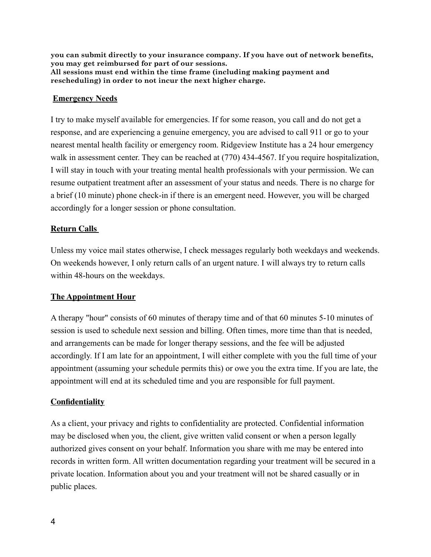**you can submit directly to your insurance company. If you have out of network benefits, you may get reimbursed for part of our sessions. All sessions must end within the time frame (including making payment and rescheduling) in order to not incur the next higher charge.** 

## **Emergency Needs**

I try to make myself available for emergencies. If for some reason, you call and do not get a response, and are experiencing a genuine emergency, you are advised to call 911 or go to your nearest mental health facility or emergency room. Ridgeview Institute has a 24 hour emergency walk in assessment center. They can be reached at  $(770)$  434-4567. If you require hospitalization, I will stay in touch with your treating mental health professionals with your permission. We can resume outpatient treatment after an assessment of your status and needs. There is no charge for a brief (10 minute) phone check-in if there is an emergent need. However, you will be charged accordingly for a longer session or phone consultation.

## **Return Calls**

Unless my voice mail states otherwise, I check messages regularly both weekdays and weekends. On weekends however, I only return calls of an urgent nature. I will always try to return calls within 48-hours on the weekdays.

## **The Appointment Hour**

A therapy "hour" consists of 60 minutes of therapy time and of that 60 minutes 5-10 minutes of session is used to schedule next session and billing. Often times, more time than that is needed, and arrangements can be made for longer therapy sessions, and the fee will be adjusted accordingly. If I am late for an appointment, I will either complete with you the full time of your appointment (assuming your schedule permits this) or owe you the extra time. If you are late, the appointment will end at its scheduled time and you are responsible for full payment.

## **Confidentiality**

As a client, your privacy and rights to confidentiality are protected. Confidential information may be disclosed when you, the client, give written valid consent or when a person legally authorized gives consent on your behalf. Information you share with me may be entered into records in written form. All written documentation regarding your treatment will be secured in a private location. Information about you and your treatment will not be shared casually or in public places.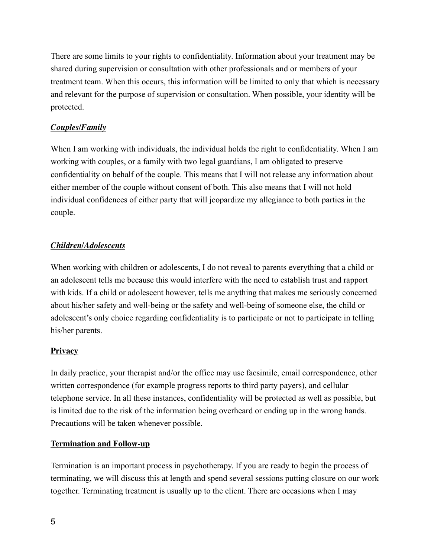There are some limits to your rights to confidentiality. Information about your treatment may be shared during supervision or consultation with other professionals and or members of your treatment team. When this occurs, this information will be limited to only that which is necessary and relevant for the purpose of supervision or consultation. When possible, your identity will be protected.

# *Couples/Family*

When I am working with individuals, the individual holds the right to confidentiality. When I am working with couples, or a family with two legal guardians, I am obligated to preserve confidentiality on behalf of the couple. This means that I will not release any information about either member of the couple without consent of both. This also means that I will not hold individual confidences of either party that will jeopardize my allegiance to both parties in the couple.

# *Children/Adolescents*

When working with children or adolescents, I do not reveal to parents everything that a child or an adolescent tells me because this would interfere with the need to establish trust and rapport with kids. If a child or adolescent however, tells me anything that makes me seriously concerned about his/her safety and well-being or the safety and well-being of someone else, the child or adolescent's only choice regarding confidentiality is to participate or not to participate in telling his/her parents.

# **Privacy**

In daily practice, your therapist and/or the office may use facsimile, email correspondence, other written correspondence (for example progress reports to third party payers), and cellular telephone service. In all these instances, confidentiality will be protected as well as possible, but is limited due to the risk of the information being overheard or ending up in the wrong hands. Precautions will be taken whenever possible.

# **Termination and Follow-up**

Termination is an important process in psychotherapy. If you are ready to begin the process of terminating, we will discuss this at length and spend several sessions putting closure on our work together. Terminating treatment is usually up to the client. There are occasions when I may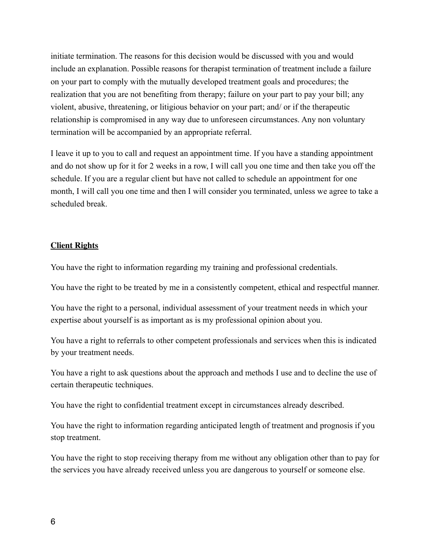initiate termination. The reasons for this decision would be discussed with you and would include an explanation. Possible reasons for therapist termination of treatment include a failure on your part to comply with the mutually developed treatment goals and procedures; the realization that you are not benefiting from therapy; failure on your part to pay your bill; any violent, abusive, threatening, or litigious behavior on your part; and/ or if the therapeutic relationship is compromised in any way due to unforeseen circumstances. Any non voluntary termination will be accompanied by an appropriate referral.

I leave it up to you to call and request an appointment time. If you have a standing appointment and do not show up for it for 2 weeks in a row, I will call you one time and then take you off the schedule. If you are a regular client but have not called to schedule an appointment for one month, I will call you one time and then I will consider you terminated, unless we agree to take a scheduled break.

#### **Client Rights**

You have the right to information regarding my training and professional credentials.

You have the right to be treated by me in a consistently competent, ethical and respectful manner.

You have the right to a personal, individual assessment of your treatment needs in which your expertise about yourself is as important as is my professional opinion about you.

You have a right to referrals to other competent professionals and services when this is indicated by your treatment needs.

You have a right to ask questions about the approach and methods I use and to decline the use of certain therapeutic techniques.

You have the right to confidential treatment except in circumstances already described.

You have the right to information regarding anticipated length of treatment and prognosis if you stop treatment.

You have the right to stop receiving therapy from me without any obligation other than to pay for the services you have already received unless you are dangerous to yourself or someone else.